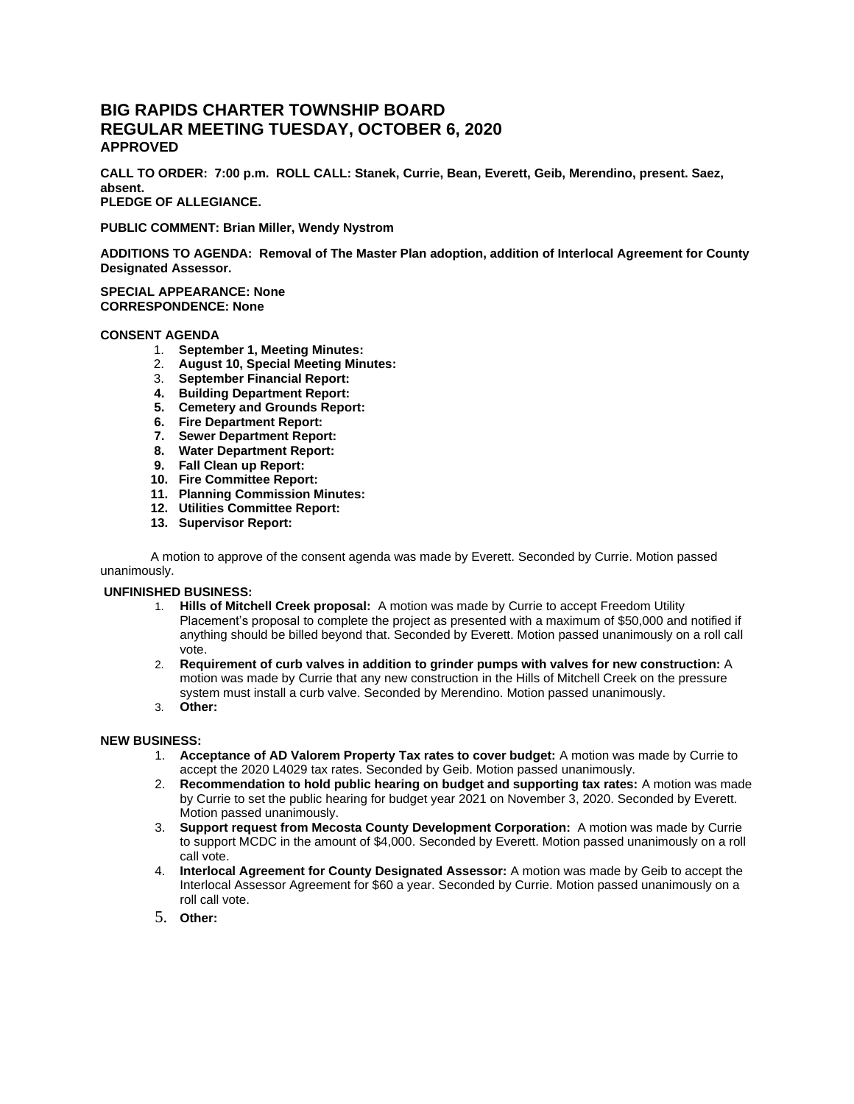# **BIG RAPIDS CHARTER TOWNSHIP BOARD REGULAR MEETING TUESDAY, OCTOBER 6, 2020 APPROVED**

**CALL TO ORDER: 7:00 p.m. ROLL CALL: Stanek, Currie, Bean, Everett, Geib, Merendino, present. Saez, absent.**

**PLEDGE OF ALLEGIANCE.**

**PUBLIC COMMENT: Brian Miller, Wendy Nystrom** 

**ADDITIONS TO AGENDA: Removal of The Master Plan adoption, addition of Interlocal Agreement for County Designated Assessor.**

**SPECIAL APPEARANCE: None CORRESPONDENCE: None**

### **CONSENT AGENDA**

- 1. **September 1, Meeting Minutes:**
- 2. **August 10, Special Meeting Minutes:**
- 3. **September Financial Report:**
- **4. Building Department Report:**
- **5. Cemetery and Grounds Report:**
- **6. Fire Department Report:**
- **7. Sewer Department Report:**
- **8. Water Department Report:**
- **9. Fall Clean up Report:**
- **10. Fire Committee Report:**
- **11. Planning Commission Minutes:**
- **12. Utilities Committee Report:**
- **13. Supervisor Report:**

A motion to approve of the consent agenda was made by Everett. Seconded by Currie. Motion passed unanimously.

## **UNFINISHED BUSINESS:**

- 1. **Hills of Mitchell Creek proposal:** A motion was made by Currie to accept Freedom Utility Placement's proposal to complete the project as presented with a maximum of \$50,000 and notified if anything should be billed beyond that. Seconded by Everett. Motion passed unanimously on a roll call vote.
- 2. **Requirement of curb valves in addition to grinder pumps with valves for new construction:** A motion was made by Currie that any new construction in the Hills of Mitchell Creek on the pressure system must install a curb valve. Seconded by Merendino. Motion passed unanimously.
- 3. **Other:**

#### **NEW BUSINESS:**

- 1. **Acceptance of AD Valorem Property Tax rates to cover budget:** A motion was made by Currie to accept the 2020 L4029 tax rates. Seconded by Geib. Motion passed unanimously.
- 2. **Recommendation to hold public hearing on budget and supporting tax rates:** A motion was made by Currie to set the public hearing for budget year 2021 on November 3, 2020. Seconded by Everett. Motion passed unanimously.
- 3. **Support request from Mecosta County Development Corporation:** A motion was made by Currie to support MCDC in the amount of \$4,000. Seconded by Everett. Motion passed unanimously on a roll call vote.
- 4. **Interlocal Agreement for County Designated Assessor:** A motion was made by Geib to accept the Interlocal Assessor Agreement for \$60 a year. Seconded by Currie. Motion passed unanimously on a roll call vote.
- 5. **Other:**